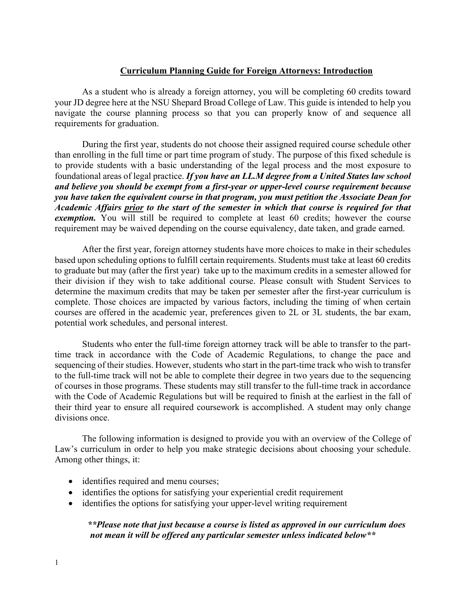#### **Curriculum Planning Guide for Foreign Attorneys: Introduction**

As a student who is already a foreign attorney, you will be completing 60 credits toward your JD degree here at the NSU Shepard Broad College of Law. This guide is intended to help you navigate the course planning process so that you can properly know of and sequence all requirements for graduation.

During the first year, students do not choose their assigned required course schedule other than enrolling in the full time or part time program of study. The purpose of this fixed schedule is to provide students with a basic understanding of the legal process and the most exposure to foundational areas of legal practice. *If you have an LL.M degree from a United States law school and believe you should be exempt from a first-year or upper-level course requirement because you have taken the equivalent course in that program, you must petition the Associate Dean for Academic Affairs prior to the start of the semester in which that course is required for that exemption.* You will still be required to complete at least 60 credits; however the course requirement may be waived depending on the course equivalency, date taken, and grade earned.

After the first year, foreign attorney students have more choices to make in their schedules based upon scheduling options to fulfill certain requirements. Students must take at least 60 credits to graduate but may (after the first year) take up to the maximum credits in a semester allowed for their division if they wish to take additional course. Please consult with Student Services to determine the maximum credits that may be taken per semester after the first-year curriculum is complete. Those choices are impacted by various factors, including the timing of when certain courses are offered in the academic year, preferences given to 2L or 3L students, the bar exam, potential work schedules, and personal interest.

Students who enter the full-time foreign attorney track will be able to transfer to the parttime track in accordance with the Code of Academic Regulations, to change the pace and sequencing of their studies. However, students who start in the part-time track who wish to transfer to the full-time track will not be able to complete their degree in two years due to the sequencing of courses in those programs. These students may still transfer to the full-time track in accordance with the Code of Academic Regulations but will be required to finish at the earliest in the fall of their third year to ensure all required coursework is accomplished. A student may only change divisions once.

The following information is designed to provide you with an overview of the College of Law's curriculum in order to help you make strategic decisions about choosing your schedule. Among other things, it:

- identifies required and menu courses;
- identifies the options for satisfying your experiential credit requirement
- identifies the options for satisfying your upper-level writing requirement

#### *\*\*Please note that just because a course is listed as approved in our curriculum does not mean it will be offered any particular semester unless indicated below\*\**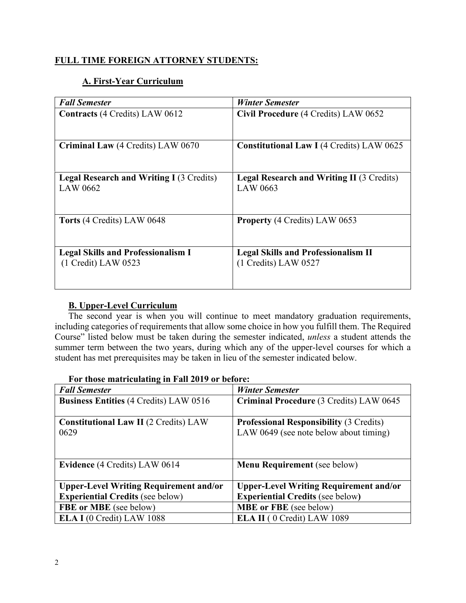# **FULL TIME FOREIGN ATTORNEY STUDENTS:**

# **A. First-Year Curriculum**

| <b>Fall Semester</b>                                               | <b>Winter Semester</b>                                             |
|--------------------------------------------------------------------|--------------------------------------------------------------------|
| <b>Contracts (4 Credits) LAW 0612</b>                              | Civil Procedure (4 Credits) LAW 0652                               |
| Criminal Law (4 Credits) LAW 0670                                  | <b>Constitutional Law I (4 Credits) LAW 0625</b>                   |
| <b>Legal Research and Writing I (3 Credits)</b><br>LAW 0662        | <b>Legal Research and Writing II (3 Credits)</b><br>LAW 0663       |
| <b>Torts (4 Credits) LAW 0648</b>                                  | <b>Property</b> (4 Credits) LAW 0653                               |
| <b>Legal Skills and Professionalism I</b><br>$(1$ Credit) LAW 0523 | <b>Legal Skills and Professionalism II</b><br>(1 Credits) LAW 0527 |

# **B. Upper-Level Curriculum**

 The second year is when you will continue to meet mandatory graduation requirements, including categories of requirements that allow some choice in how you fulfill them. The Required Course" listed below must be taken during the semester indicated, *unless* a student attends the summer term between the two years, during which any of the upper-level courses for which a student has met prerequisites may be taken in lieu of the semester indicated below.

| <b>Fall Semester</b>                          | <b>Winter Semester</b>                         |
|-----------------------------------------------|------------------------------------------------|
| <b>Business Entities (4 Credits) LAW 0516</b> | Criminal Procedure (3 Credits) LAW 0645        |
|                                               |                                                |
| <b>Constitutional Law II (2 Credits) LAW</b>  | <b>Professional Responsibility (3 Credits)</b> |
| 0629                                          | LAW 0649 (see note below about timing)         |
|                                               |                                                |
| <b>Evidence</b> (4 Credits) LAW 0614          | <b>Menu Requirement</b> (see below)            |
|                                               |                                                |
| <b>Upper-Level Writing Requirement and/or</b> | <b>Upper-Level Writing Requirement and/or</b>  |
| <b>Experiential Credits (see below)</b>       | <b>Experiential Credits (see below)</b>        |
| FBE or MBE (see below)                        | <b>MBE</b> or <b>FBE</b> (see below)           |
| ELA I (0 Credit) LAW 1088                     | <b>ELA II</b> (0 Credit) LAW 1089              |

#### **For those matriculating in Fall 2019 or before:**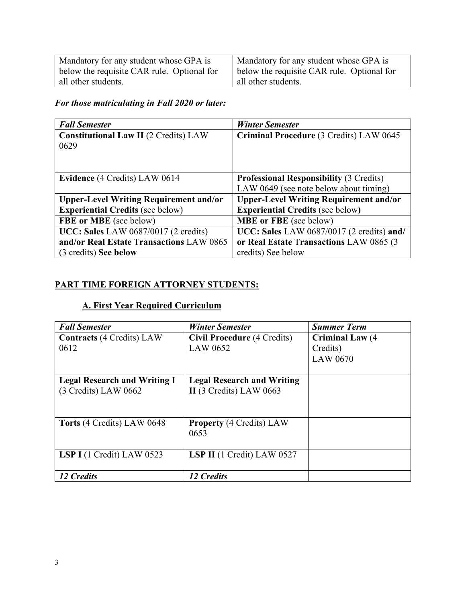| Mandatory for any student whose GPA is     | Mandatory for any student whose GPA is     |
|--------------------------------------------|--------------------------------------------|
| below the requisite CAR rule. Optional for | below the requisite CAR rule. Optional for |
| all other students.                        | all other students.                        |

# *For those matriculating in Fall 2020 or later:*

| <b>Fall Semester</b>                          | <b>Winter Semester</b>                         |
|-----------------------------------------------|------------------------------------------------|
| <b>Constitutional Law II (2 Credits) LAW</b>  | Criminal Procedure (3 Credits) LAW 0645        |
| 0629                                          |                                                |
|                                               |                                                |
|                                               |                                                |
| <b>Evidence</b> (4 Credits) LAW 0614          | <b>Professional Responsibility (3 Credits)</b> |
|                                               | LAW 0649 (see note below about timing)         |
| <b>Upper-Level Writing Requirement and/or</b> | <b>Upper-Level Writing Requirement and/or</b>  |
| <b>Experiential Credits (see below)</b>       | <b>Experiential Credits (see below)</b>        |
| <b>FBE</b> or MBE (see below)                 | <b>MBE</b> or FBE (see below)                  |
| <b>UCC: Sales LAW 0687/0017 (2 credits)</b>   | UCC: Sales LAW 0687/0017 (2 credits) and/      |
| and/or Real Estate Transactions LAW 0865      | or Real Estate Transactions LAW 0865 (3)       |
| (3 credits) See below                         | credits) See below                             |

# **PART TIME FOREIGN ATTORNEY STUDENTS:**

# **A. First Year Required Curriculum**

| <b>Fall Semester</b>                                        | <b>Winter Semester</b>                                         | <b>Summer Term</b>                                     |
|-------------------------------------------------------------|----------------------------------------------------------------|--------------------------------------------------------|
| <b>Contracts (4 Credits) LAW</b><br>0612                    | <b>Civil Procedure (4 Credits)</b><br>LAW 0652                 | <b>Criminal Law</b> (4)<br>Credits)<br><b>LAW 0670</b> |
| <b>Legal Research and Writing I</b><br>(3 Credits) LAW 0662 | <b>Legal Research and Writing</b><br>$II$ (3 Credits) LAW 0663 |                                                        |
| <b>Torts (4 Credits) LAW 0648</b>                           | <b>Property (4 Credits) LAW</b><br>0653                        |                                                        |
| LSP I $(1 \text{ Credit})$ LAW 0523                         | <b>LSP II</b> $(1 \text{ Credit})$ LAW $0527$                  |                                                        |
| 12 Credits                                                  | 12 Credits                                                     |                                                        |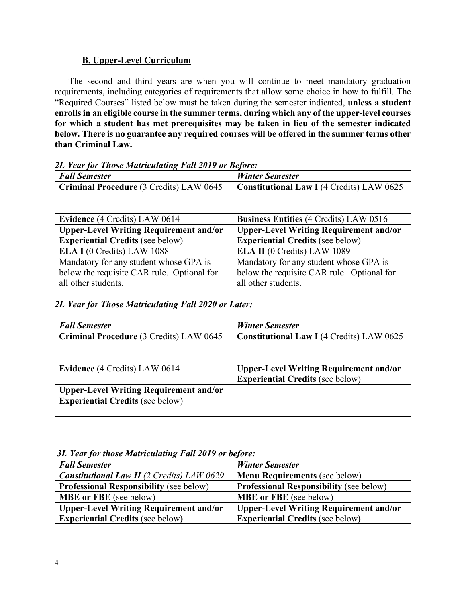#### **B. Upper-Level Curriculum**

 The second and third years are when you will continue to meet mandatory graduation requirements, including categories of requirements that allow some choice in how to fulfill. The "Required Courses" listed below must be taken during the semester indicated, **unless a student enrolls in an eligible course in the summer terms, during which any of the upper-level courses for which a student has met prerequisites may be taken in lieu of the semester indicated below. There is no guarantee any required courses will be offered in the summer terms other than Criminal Law.** 

| <b>Fall Semester</b>                          | <b>Winter Semester</b>                           |
|-----------------------------------------------|--------------------------------------------------|
| Criminal Procedure (3 Credits) LAW 0645       | <b>Constitutional Law I (4 Credits) LAW 0625</b> |
|                                               |                                                  |
| Evidence (4 Credits) LAW 0614                 | <b>Business Entities (4 Credits) LAW 0516</b>    |
| <b>Upper-Level Writing Requirement and/or</b> | <b>Upper-Level Writing Requirement and/or</b>    |
| <b>Experiential Credits (see below)</b>       | <b>Experiential Credits (see below)</b>          |
| ELA I (0 Credits) LAW 1088                    | ELA II (0 Credits) LAW 1089                      |
| Mandatory for any student whose GPA is        | Mandatory for any student whose GPA is           |
| below the requisite CAR rule. Optional for    | below the requisite CAR rule. Optional for       |
| all other students.                           | all other students.                              |

#### *2L Year for Those Matriculating Fall 2019 or Before:*

#### *2L Year for Those Matriculating Fall 2020 or Later:*

| <b>Fall Semester</b>                          | <b>Winter Semester</b>                           |
|-----------------------------------------------|--------------------------------------------------|
| Criminal Procedure (3 Credits) LAW 0645       | <b>Constitutional Law I (4 Credits) LAW 0625</b> |
|                                               |                                                  |
|                                               |                                                  |
| <b>Evidence</b> (4 Credits) LAW 0614          | <b>Upper-Level Writing Requirement and/or</b>    |
|                                               | <b>Experiential Credits (see below)</b>          |
| <b>Upper-Level Writing Requirement and/or</b> |                                                  |
| <b>Experiential Credits (see below)</b>       |                                                  |
|                                               |                                                  |

*3L Year for those Matriculating Fall 2019 or before:*

| <b>Fall Semester</b>                              | <b>Winter Semester</b>                         |
|---------------------------------------------------|------------------------------------------------|
| <b>Constitutional Law II</b> (2 Credits) LAW 0629 | <b>Menu Requirements (see below)</b>           |
| <b>Professional Responsibility (see below)</b>    | <b>Professional Responsibility (see below)</b> |
| <b>MBE</b> or FBE (see below)                     | <b>MBE</b> or FBE (see below)                  |
| <b>Upper-Level Writing Requirement and/or</b>     | <b>Upper-Level Writing Requirement and/or</b>  |
| <b>Experiential Credits (see below)</b>           | <b>Experiential Credits (see below)</b>        |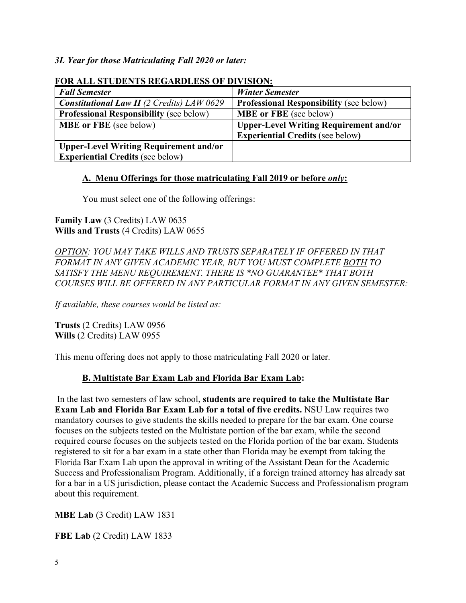# *3L Year for those Matriculating Fall 2020 or later:*

| I ON ALLI STUDENTS INEGANDLIESS OF DIVISION.      |                                                |
|---------------------------------------------------|------------------------------------------------|
| <b>Fall Semester</b>                              | <b>Winter Semester</b>                         |
| <b>Constitutional Law II</b> (2 Credits) LAW 0629 | <b>Professional Responsibility (see below)</b> |
| <b>Professional Responsibility (see below)</b>    | <b>MBE</b> or FBE (see below)                  |
| <b>MBE</b> or FBE (see below)                     | <b>Upper-Level Writing Requirement and/or</b>  |
|                                                   | <b>Experiential Credits (see below)</b>        |
| <b>Upper-Level Writing Requirement and/or</b>     |                                                |
| <b>Experiential Credits (see below)</b>           |                                                |

# **FOR ALL STUDENTS REGARDLESS OF DIVISION.**

#### **A. Menu Offerings for those matriculating Fall 2019 or before** *only***:**

You must select one of the following offerings:

# **Family Law** (3 Credits) LAW 0635 **Wills and Trusts** (4 Credits) LAW 0655

*OPTION: YOU MAY TAKE WILLS AND TRUSTS SEPARATELY IF OFFERED IN THAT FORMAT IN ANY GIVEN ACADEMIC YEAR, BUT YOU MUST COMPLETE BOTH TO SATISFY THE MENU REQUIREMENT. THERE IS \*NO GUARANTEE\* THAT BOTH COURSES WILL BE OFFERED IN ANY PARTICULAR FORMAT IN ANY GIVEN SEMESTER:*

*If available, these courses would be listed as:* 

**Trusts** (2 Credits) LAW 0956 **Wills** (2 Credits) LAW 0955

This menu offering does not apply to those matriculating Fall 2020 or later.

# **B. Multistate Bar Exam Lab and Florida Bar Exam Lab:**

In the last two semesters of law school, **students are required to take the Multistate Bar Exam Lab and Florida Bar Exam Lab for a total of five credits.** NSU Law requires two mandatory courses to give students the skills needed to prepare for the bar exam. One course focuses on the subjects tested on the Multistate portion of the bar exam, while the second required course focuses on the subjects tested on the Florida portion of the bar exam. Students registered to sit for a bar exam in a state other than Florida may be exempt from taking the Florida Bar Exam Lab upon the approval in writing of the Assistant Dean for the Academic Success and Professionalism Program. Additionally, if a foreign trained attorney has already sat for a bar in a US jurisdiction, please contact the Academic Success and Professionalism program about this requirement.

**MBE Lab** (3 Credit) LAW 1831

**FBE Lab** (2 Credit) LAW 1833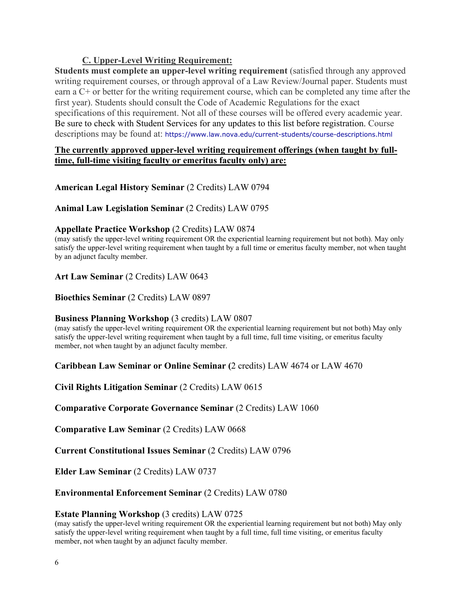# **C. Upper-Level Writing Requirement:**

**Students must complete an upper-level writing requirement** (satisfied through any approved writing requirement courses, or through approval of a Law Review/Journal paper. Students must earn a C+ or better for the writing requirement course, which can be completed any time after the first year). Students should consult the Code of Academic Regulations for the exact specifications of this requirement. Not all of these courses will be offered every academic year. Be sure to check with Student Services for any updates to this list before registration. Course descriptions may be found at: <https://www.law.nova.edu/current-students/course-descriptions.html>

#### **The currently approved upper-level writing requirement offerings (when taught by fulltime, full-time visiting faculty or emeritus faculty only) are:**

**American Legal History Seminar** (2 Credits) LAW 0794

**Animal Law Legislation Seminar** (2 Credits) LAW 0795

#### **Appellate Practice Workshop** (2 Credits) LAW 0874

(may satisfy the upper-level writing requirement OR the experiential learning requirement but not both). May only satisfy the upper-level writing requirement when taught by a full time or emeritus faculty member, not when taught by an adjunct faculty member.

**Art Law Seminar** (2 Credits) LAW 0643

**Bioethics Seminar** (2 Credits) LAW 0897

#### **Business Planning Workshop** (3 credits) LAW 0807

(may satisfy the upper-level writing requirement OR the experiential learning requirement but not both) May only satisfy the upper-level writing requirement when taught by a full time, full time visiting, or emeritus faculty member, not when taught by an adjunct faculty member.

**Caribbean Law Seminar or Online Seminar (**2 credits) LAW 4674 or LAW 4670

**Civil Rights Litigation Seminar** (2 Credits) LAW 0615

**Comparative Corporate Governance Seminar** (2 Credits) LAW 1060

**Comparative Law Seminar** (2 Credits) LAW 0668

**Current Constitutional Issues Seminar** (2 Credits) LAW 0796

**Elder Law Seminar** (2 Credits) LAW 0737

# **Environmental Enforcement Seminar** (2 Credits) LAW 0780

#### **Estate Planning Workshop** (3 credits) LAW 0725

(may satisfy the upper-level writing requirement OR the experiential learning requirement but not both) May only satisfy the upper-level writing requirement when taught by a full time, full time visiting, or emeritus faculty member, not when taught by an adjunct faculty member.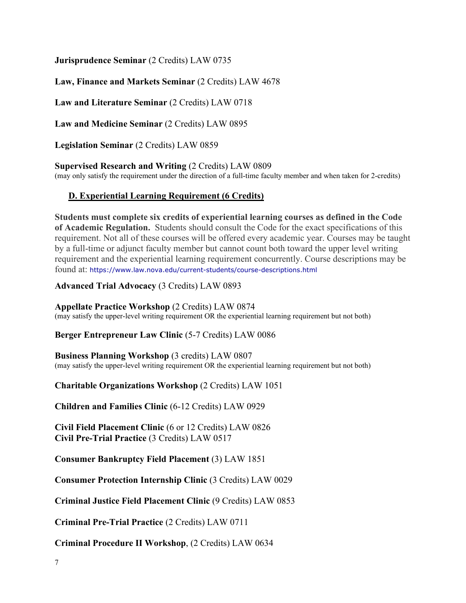**Jurisprudence Seminar** (2 Credits) LAW 0735

**Law, Finance and Markets Seminar** (2 Credits) LAW 4678

**Law and Literature Seminar** (2 Credits) LAW 0718

**Law and Medicine Seminar** (2 Credits) LAW 0895

**Legislation Seminar** (2 Credits) LAW 0859

**Supervised Research and Writing** (2 Credits) LAW 0809 (may only satisfy the requirement under the direction of a full-time faculty member and when taken for 2-credits)

#### **D. Experiential Learning Requirement (6 Credits)**

**Students must complete six credits of experiential learning courses as defined in the Code of Academic Regulation.** Students should consult the Code for the exact specifications of this requirement. Not all of these courses will be offered every academic year. Courses may be taught by a full-time or adjunct faculty member but cannot count both toward the upper level writing requirement and the experiential learning requirement concurrently. Course descriptions may be found at: <https://www.law.nova.edu/current-students/course-descriptions.html>

**Advanced Trial Advocacy** (3 Credits) LAW 0893

**Appellate Practice Workshop** (2 Credits) LAW 0874 (may satisfy the upper-level writing requirement OR the experiential learning requirement but not both)

**Berger Entrepreneur Law Clinic** (5-7 Credits) LAW 0086

**Business Planning Workshop** (3 credits) LAW 0807

(may satisfy the upper-level writing requirement OR the experiential learning requirement but not both)

**Charitable Organizations Workshop** (2 Credits) LAW 1051

**Children and Families Clinic** (6-12 Credits) LAW 0929

**Civil Field Placement Clinic** (6 or 12 Credits) LAW 0826 **Civil Pre-Trial Practice** (3 Credits) LAW 0517

**Consumer Bankruptcy Field Placement** (3) LAW 1851

**Consumer Protection Internship Clinic** (3 Credits) LAW 0029

**Criminal Justice Field Placement Clinic** (9 Credits) LAW 0853

**Criminal Pre-Trial Practice** (2 Credits) LAW 0711

**Criminal Procedure II Workshop**, (2 Credits) LAW 0634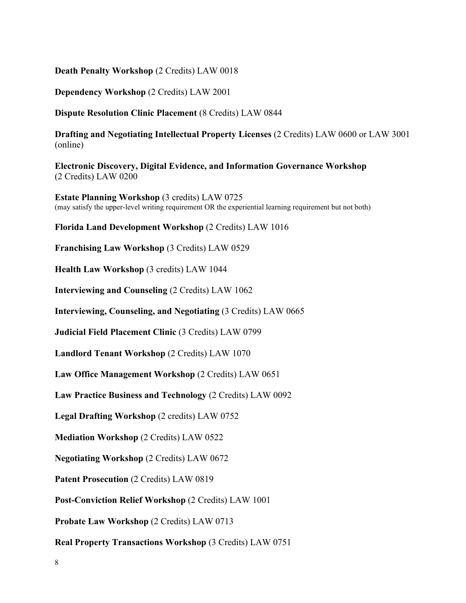**Death Penalty Workshop** (2 Credits) LAW 0018

**Dependency Workshop** (2 Credits) LAW 2001

**Dispute Resolution Clinic Placement** (8 Credits) LAW 0844

**Drafting and Negotiating Intellectual Property Licenses** (2 Credits) LAW 0600 or LAW 3001 (online)

**Electronic Discovery, Digital Evidence, and Information Governance Workshop**  (2 Credits) LAW 0200

**Estate Planning Workshop** (3 credits) LAW 0725 (may satisfy the upper-level writing requirement OR the experiential learning requirement but not both)

**Florida Land Development Workshop** (2 Credits) LAW 1016

**Franchising Law Workshop** (3 Credits) LAW 0529

**Health Law Workshop** (3 credits) LAW 1044

**Interviewing and Counseling** (2 Credits) LAW 1062

**Interviewing, Counseling, and Negotiating** (3 Credits) LAW 0665

**Judicial Field Placement Clinic** (3 Credits) LAW 0799

**Landlord Tenant Workshop** (2 Credits) LAW 1070

**Law Office Management Workshop** (2 Credits) LAW 0651

**Law Practice Business and Technology** (2 Credits) LAW 0092

**Legal Drafting Workshop** (2 credits) LAW 0752

**Mediation Workshop** (2 Credits) LAW 0522

**Negotiating Workshop** (2 Credits) LAW 0672

**Patent Prosecution** (2 Credits) LAW 0819

**Post-Conviction Relief Workshop** (2 Credits) LAW 1001

**Probate Law Workshop** (2 Credits) LAW 0713

**Real Property Transactions Workshop** (3 Credits) LAW 0751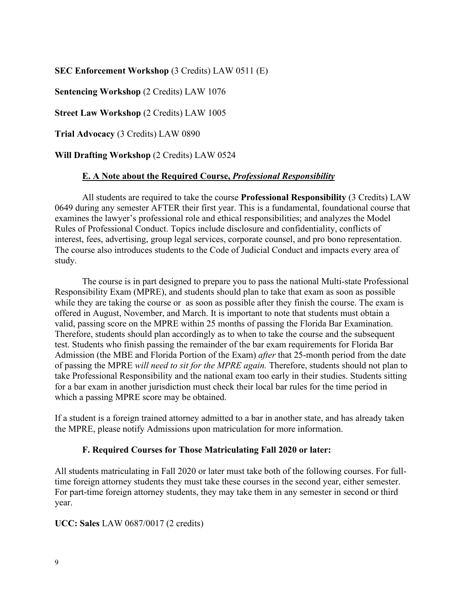**SEC Enforcement Workshop** (3 Credits) LAW 0511 (E)

**Sentencing Workshop** (2 Credits) LAW 1076

**Street Law Workshop** (2 Credits) LAW 1005

**Trial Advocacy** (3 Credits) LAW 0890

**Will Drafting Workshop** (2 Credits) LAW 0524

#### **E. A Note about the Required Course,** *Professional Responsibility*

All students are required to take the course **Professional Responsibility** (3 Credits) LAW 0649 during any semester AFTER their first year. This is a fundamental, foundational course that examines the lawyer's professional role and ethical responsibilities; and analyzes the Model Rules of Professional Conduct. Topics include disclosure and confidentiality, conflicts of interest, fees, advertising, group legal services, corporate counsel, and pro bono representation. The course also introduces students to the Code of Judicial Conduct and impacts every area of study.

The course is in part designed to prepare you to pass the national Multi-state Professional Responsibility Exam (MPRE), and students should plan to take that exam as soon as possible while they are taking the course or as soon as possible after they finish the course. The exam is offered in August, November, and March. It is important to note that students must obtain a valid, passing score on the MPRE within 25 months of passing the Florida Bar Examination. Therefore, students should plan accordingly as to when to take the course and the subsequent test. Students who finish passing the remainder of the bar exam requirements for Florida Bar Admission (the MBE and Florida Portion of the Exam) *after* that 25-month period from the date of passing the MPRE *will need to sit for the MPRE again.* Therefore, students should not plan to take Professional Responsibility and the national exam too early in their studies. Students sitting for a bar exam in another jurisdiction must check their local bar rules for the time period in which a passing MPRE score may be obtained.

If a student is a foreign trained attorney admitted to a bar in another state, and has already taken the MPRE, please notify Admissions upon matriculation for more information.

#### **F. Required Courses for Those Matriculating Fall 2020 or later:**

All students matriculating in Fall 2020 or later must take both of the following courses. For fulltime foreign attorney students they must take these courses in the second year, either semester. For part-time foreign attorney students, they may take them in any semester in second or third year.

**UCC: Sales** LAW 0687/0017 (2 credits)